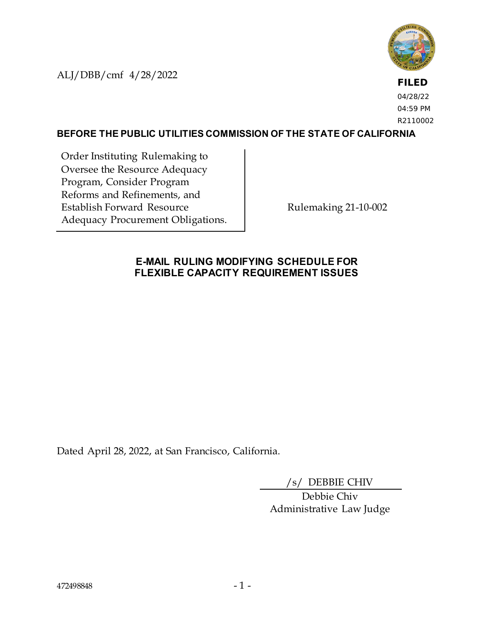ALJ/DBB/cmf 4/28/2022



**FILED** 04/28/22 04:59 PM R2110002

#### **BEFORE THE PUBLIC UTILITIES COMMISSION OF THE STATE OF CALIFORNIA**

Order Instituting Rulemaking to Oversee the Resource Adequacy Program, Consider Program Reforms and Refinements, and Establish Forward Resource Adequacy Procurement Obligations.

Rulemaking 21-10-002

### **E-MAIL RULING MODIFYING SCHEDULE FOR FLEXIBLE CAPACITY REQUIREMENT ISSUES**

Dated April 28, 2022, at San Francisco, California.

/s/ DEBBIE CHIV

Debbie Chiv Administrative Law Judge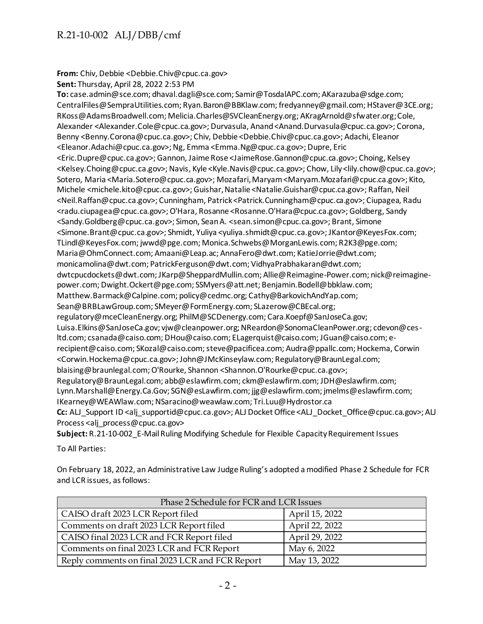# R.21-10-002 ALJ/DBB/cmf

**From:** Chiv, Debbie <Debbie.Chiv@cpuc.ca.gov>

**Sent:** Thursday, April 28, 2022 2:53 PM

**To:** case.admin@sce.com; dhaval.dagli@sce.com; Samir@TosdalAPC.com; AKarazuba@sdge.com; CentralFiles@SempraUtilities.com; Ryan.Baron@BBKlaw.com; fredyanney@gmail.com; HStaver@3CE.org; RKoss@AdamsBroadwell.com; Melicia.Charles@SVCleanEnergy.org; AKragArnold@sfwater.org; Cole, Alexander <Alexander.Cole@cpuc.ca.gov>; Durvasula, Anand <Anand.Durvasula@cpuc.ca.gov>; Corona, Benny <Benny.Corona@cpuc.ca.gov>; Chiv, Debbie <Debbie.Chiv@cpuc.ca.gov>; Adachi, Eleanor <Eleanor.Adachi@cpuc.ca.gov>; Ng, Emma <Emma.Ng@cpuc.ca.gov>; Dupre, Eric <Eric.Dupre@cpuc.ca.gov>; Gannon, Jaime Rose <JaimeRose.Gannon@cpuc.ca.gov>; Choing, Kelsey <Kelsey.Choing@cpuc.ca.gov>; Navis, Kyle <Kyle.Navis@cpuc.ca.gov>; Chow, Lily <lily.chow@cpuc.ca.gov>; Sotero, Maria <Maria.Sotero@cpuc.ca.gov>; Mozafari, Maryam <Maryam.Mozafari@cpuc.ca.gov>; Kito, Michele <michele.kito@cpuc.ca.gov>; Guishar, Natalie <Natalie.Guishar@cpuc.ca.gov>; Raffan, Neil <Neil.Raffan@cpuc.ca.gov>; Cunningham, Patrick <Patrick.Cunningham@cpuc.ca.gov>; Ciupagea, Radu <radu.ciupagea@cpuc.ca.gov>; O'Hara, Rosanne <Rosanne.O'Hara@cpuc.ca.gov>; Goldberg, Sandy <Sandy.Goldberg@cpuc.ca.gov>; Simon, Sean A. <sean.simon@cpuc.ca.gov>; Brant, Simone <Simone.Brant@cpuc.ca.gov>; Shmidt, Yuliya <yuliya.shmidt@cpuc.ca.gov>; JKantor@KeyesFox.com; TLindl@KeyesFox.com; jwwd@pge.com; Monica.Schwebs@MorganLewis.com; R2K3@pge.com; Maria@OhmConnect.com; Amaani@Leap.ac; AnnaFero@dwt.com; KatieJorrie@dwt.com; monicamolina@dwt.com; PatrickFerguson@dwt.com; VidhyaPrabhakaran@dwt.com; dwtcpucdockets@dwt.com; JKarp@SheppardMullin.com; Allie@Reimagine-Power.com; nick@reimaginepower.com; Dwight.Ockert@pge.com; SSMyers@att.net; Benjamin.Bodell@bbklaw.com; Matthew.Barmack@Calpine.com; policy@cedmc.org; Cathy@BarkovichAndYap.com; Sean@BRBLawGroup.com; SMeyer@FormEnergy.com; SLazerow@CBEcal.org; regulatory@mceCleanEnergy.org; PhilM@SCDenergy.com; Cara.Koepf@SanJoseCa.gov; Luisa.Elkins@SanJoseCa.gov; vjw@cleanpower.org; NReardon@SonomaCleanPower.org; cdevon@cesltd.com; csanada@caiso.com; DHou@caiso.com; ELagerquist@caiso.com; JGuan@caiso.com; erecipient@caiso.com; SKozal@caiso.com; steve@pacificea.com; Audra@ppallc.com; Hockema, Corwin <Corwin.Hockema@cpuc.ca.gov>; John@JMcKinseylaw.com; Regulatory@BraunLegal.com; blaising@braunlegal.com; O'Rourke, Shannon <Shannon.O'Rourke@cpuc.ca.gov>; Regulatory@BraunLegal.com; abb@eslawfirm.com; ckm@eslawfirm.com; JDH@eslawfirm.com; Lynn.Marshall@Energy.Ca.Gov; SGN@esLawfirm.com; jjg@eslawfirm.com; jmelms@eslawfirm.com; IKearney@WEAWlaw.com; NSaracino@weawlaw.com; Tri.Luu@Hydrostor.ca **Cc:** ALJ\_Support ID <alj\_supportid@cpuc.ca.gov>; ALJ Docket Office <ALJ\_Docket\_Office@cpuc.ca.gov>; ALJ Process <alj\_process@cpuc.ca.gov>

**Subject:** R.21-10-002\_E-Mail Ruling Modifying Schedule for Flexible Capacity Requirement Issues

To All Parties:

On February 18, 2022, an Administrative Law Judge Ruling's adopted a modified Phase 2 Schedule for FCR and LCR issues, as follows:

| Phase 2 Schedule for FCR and LCR Issues         |                |
|-------------------------------------------------|----------------|
| CAISO draft 2023 LCR Report filed               | April 15, 2022 |
| Comments on draft 2023 LCR Report filed         | April 22, 2022 |
| CAISO final 2023 LCR and FCR Report filed       | April 29, 2022 |
| Comments on final 2023 LCR and FCR Report       | May 6, 2022    |
| Reply comments on final 2023 LCR and FCR Report | May 13, 2022   |